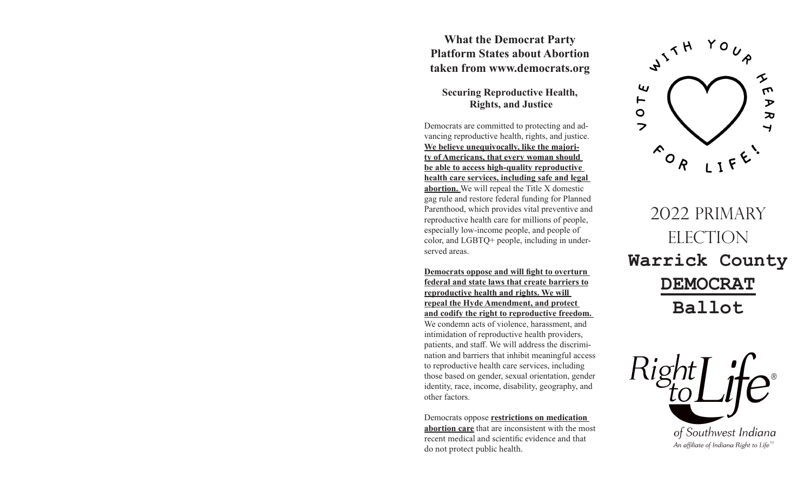## **What the Democrat Party Platform States about Abortion taken from www.democrats.org**

## **Securing Reproductive Health, Rights, and Justice**

Democrats are committed to protecting and advancing reproductive health, rights, and justice. **We believe unequivocally, like the majority of Americans, that every woman should be able to access high-quality reproductive health care services, including safe and legal abortion.** We will repeal the Title X domestic gag rule and restore federal funding for Planned Parenthood, which provides vital preventive and reproductive health care for millions of people, especially low-income people, and people of color, and LGBTQ+ people, including in underserved areas.

**Democrats oppose and will fight to overturn federal and state laws that create barriers to reproductive health and rights. We will repeal the Hyde Amendment, and protect and codify the right to reproductive freedom.** 

We condemn acts of violence, harassment, and intimidation of reproductive health providers, patients, and staff. We will address the discrimination and barriers that inhibit meaningful access to reproductive health care services, including those based on gender, sexual orientation, gender identity, race, income, disability, geography, and other factors.

Democrats oppose **restrictions on medication abortion care** that are inconsistent with the most recent medical and scientific evidence and that do not protect public health.



2022 PRIMARY ELECTION **Warrick County DEMOCRAT Ballot**

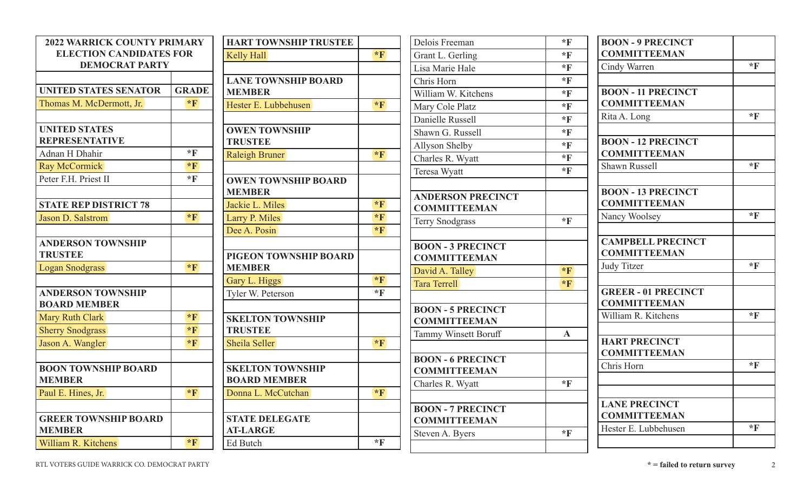| <b>2022 WARRICK COUNTY PRIMARY</b> |                  | <b>HART TOWNSHIP TRUSTEE</b> |                  | Delois Freeman              | $*_{\mathbf{F}}$ | <b>BOON - 9 PRECINCT</b>   |                  |
|------------------------------------|------------------|------------------------------|------------------|-----------------------------|------------------|----------------------------|------------------|
| <b>ELECTION CANDIDATES FOR</b>     |                  | Kelly Hall                   | $*F$             | Grant L. Gerling            | $*$ F            | <b>COMMITTEEMAN</b>        |                  |
| <b>DEMOCRAT PARTY</b>              |                  |                              |                  | Lisa Marie Hale             | $*$ <b>F</b>     | Cindy Warren               | $*$ F            |
|                                    |                  | <b>LANE TOWNSHIP BOARD</b>   |                  | Chris Horn                  | $*$ <b>F</b>     |                            |                  |
| <b>UNITED STATES SENATOR</b>       | <b>GRADE</b>     | <b>MEMBER</b>                |                  | William W. Kitchens         | $*$ F            | <b>BOON - 11 PRECINCT</b>  |                  |
| Thomas M. McDermott, Jr.           | $*_{\mathbf{F}}$ | Hester E. Lubbehusen         | $*_{\mathbf{F}}$ | Mary Cole Platz             | $*$ F            | <b>COMMITTEEMAN</b>        |                  |
|                                    |                  |                              |                  | Danielle Russell            | $*$ <b>F</b>     | Rita A. Long               | $*$ <b>F</b>     |
| <b>UNITED STATES</b>               |                  | <b>OWEN TOWNSHIP</b>         |                  | Shawn G. Russell            | $*$ <b>F</b>     |                            |                  |
| <b>REPRESENTATIVE</b>              |                  | <b>TRUSTEE</b>               |                  | Allyson Shelby              | $*$ <b>F</b>     | <b>BOON - 12 PRECINCT</b>  |                  |
| Adnan H Dhahir                     | $*$ F            | <b>Raleigh Bruner</b>        | $*F$             | Charles R. Wyatt            | $*$ <b>F</b>     | <b>COMMITTEEMAN</b>        |                  |
| Ray McCormick                      | $*_{\mathbf{F}}$ |                              |                  | Teresa Wyatt                | $*$ <b>F</b>     | Shawn Russell              | $*_{\mathbb{F}}$ |
| Peter F.H. Priest II               | $*_{\mathbf{F}}$ | <b>OWEN TOWNSHIP BOARD</b>   |                  |                             |                  |                            |                  |
|                                    |                  | <b>MEMBER</b>                |                  | <b>ANDERSON PRECINCT</b>    |                  | <b>BOON - 13 PRECINCT</b>  |                  |
| <b>STATE REP DISTRICT 78</b>       |                  | Jackie L. Miles              | $*_{\mathbf{F}}$ | <b>COMMITTEEMAN</b>         |                  | <b>COMMITTEEMAN</b>        |                  |
| Jason D. Salstrom                  | $*_{\mathbf{F}}$ | Larry P. Miles               | $*_{\mathbf{F}}$ | <b>Terry Snodgrass</b>      | $*$ F            | Nancy Woolsey              | $*_{\mathbb{F}}$ |
|                                    |                  | Dee A. Posin                 | $*_{\mathbf{F}}$ |                             |                  |                            |                  |
| <b>ANDERSON TOWNSHIP</b>           |                  |                              |                  | <b>BOON - 3 PRECINCT</b>    |                  | <b>CAMPBELL PRECINCT</b>   |                  |
| <b>TRUSTEE</b>                     |                  | PIGEON TOWNSHIP BOARD        |                  | <b>COMMITTEEMAN</b>         |                  | <b>COMMITTEEMAN</b>        |                  |
| Logan Snodgrass                    | $*_{\mathbf{F}}$ | <b>MEMBER</b>                |                  | David A. Talley             | $*$ <b>F</b>     | Judy Titzer                | $*$ F            |
|                                    |                  | Gary L. Higgs                | $*_{\mathbf{F}}$ | Tara Terrell                | $*_{\mathbf{F}}$ |                            |                  |
| <b>ANDERSON TOWNSHIP</b>           |                  | Tyler W. Peterson            | $*$ <b>F</b>     |                             |                  | <b>GREER - 01 PRECINCT</b> |                  |
| <b>BOARD MEMBER</b>                |                  |                              |                  | <b>BOON - 5 PRECINCT</b>    |                  | <b>COMMITTEEMAN</b>        |                  |
| Mary Ruth Clark                    | $*_{\mathbf{F}}$ | <b>SKELTON TOWNSHIP</b>      |                  | <b>COMMITTEEMAN</b>         |                  | William R. Kitchens        | $*$ F            |
| <b>Sherry Snodgrass</b>            | $*_{\mathbf{F}}$ | <b>TRUSTEE</b>               |                  | <b>Tammy Winsett Boruff</b> | $\mathbf{A}$     |                            |                  |
| Jason A. Wangler                   | $*_{\mathbf{F}}$ | Sheila Seller                | $*_{\mathbf{F}}$ |                             |                  | <b>HART PRECINCT</b>       |                  |
|                                    |                  |                              |                  | <b>BOON - 6 PRECINCT</b>    |                  | <b>COMMITTEEMAN</b>        |                  |
| <b>BOON TOWNSHIP BOARD</b>         |                  | <b>SKELTON TOWNSHIP</b>      |                  | <b>COMMITTEEMAN</b>         |                  | Chris Horn                 | $*$ F            |
| <b>MEMBER</b>                      |                  | <b>BOARD MEMBER</b>          |                  | Charles R. Wyatt            | $*_{\mathbf{F}}$ |                            |                  |
| Paul E. Hines, Jr.                 | $*_{\mathbf{F}}$ | Donna L. McCutchan           | $*_{\mathbf{F}}$ |                             |                  |                            |                  |
|                                    |                  |                              |                  | <b>BOON - 7 PRECINCT</b>    |                  | <b>LANE PRECINCT</b>       |                  |
| <b>GREER TOWNSHIP BOARD</b>        |                  | <b>STATE DELEGATE</b>        |                  | <b>COMMITTEEMAN</b>         |                  | <b>COMMITTEEMAN</b>        |                  |
| <b>MEMBER</b>                      |                  | <b>AT-LARGE</b>              |                  | Steven A. Byers             | $*_{\mathbb{F}}$ | Hester E. Lubbehusen       | $*$ F            |
| William R. Kitchens                | $*_{\mathbf{F}}$ | Ed Butch                     | $*_{\mathbf{F}}$ |                             |                  |                            |                  |